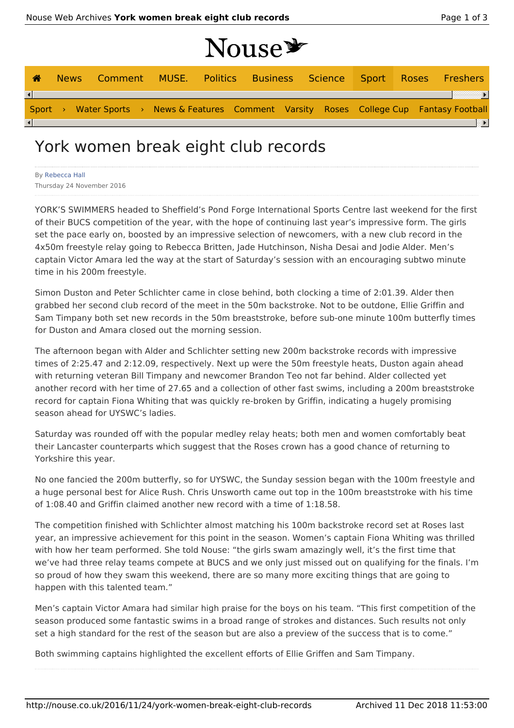| ☎                      |  |  |  | News Comment MUSE. Politics Business Science Sport Roses Freshers                         |  |  |  |
|------------------------|--|--|--|-------------------------------------------------------------------------------------------|--|--|--|
| $\left  \cdot \right $ |  |  |  |                                                                                           |  |  |  |
|                        |  |  |  | Sport > Water Sports > News & Features Comment Varsity Roses College Cup Fantasy Football |  |  |  |
| $\vert \cdot \vert$    |  |  |  |                                                                                           |  |  |  |

# York women break eight club records

| <b>By Rebecca Hall</b>    |  |
|---------------------------|--|
| Thursday 24 November 2016 |  |

YORK'S SWIMMERS headed to Sheffield's Pond Forge International Sports Centre last weekend for the first of their BUCS competition of the year, with the hope of continuing last year's impressive form. The girls set the pace early on, boosted by an impressive selection of newcomers, with a new club record in the 4x50m freestyle relay going to Rebecca Britten, Jade Hutchinson, Nisha Desai and Jodie Alder. Men's captain Victor Amara led the way at the start of Saturday's session with an encouraging subtwo minute time in his 200m freestyle.

Simon Duston and Peter Schlichter came in close behind, both clocking a time of 2:01.39. Alder then grabbed her second club record of the meet in the 50m backstroke. Not to be outdone, Ellie Griffin and Sam Timpany both set new records in the 50m breaststroke, before sub-one minute 100m butterfly times for Duston and Amara closed out the morning session.

The afternoon began with Alder and Schlichter setting new 200m backstroke records with impressive times of 2:25.47 and 2:12.09, respectively. Next up were the 50m freestyle heats, Duston again ahead with returning veteran Bill Timpany and newcomer Brandon Teo not far behind. Alder collected yet another record with her time of 27.65 and a collection of other fast swims, including a 200m breaststroke record for captain Fiona Whiting that was quickly re-broken by Griffin, indicating a hugely promising season ahead for UYSWC's ladies.

Saturday was rounded off with the popular medley relay heats; both men and women comfortably beat their Lancaster counterparts which suggest that the Roses crown has a good chance of returning to Yorkshire this year.

No one fancied the 200m butterfly, so for UYSWC, the Sunday session began with the 100m freestyle and a huge personal best for Alice Rush. Chris Unsworth came out top in the 100m breaststroke with his time of 1:08.40 and Griffin claimed another new record with a time of 1:18.58.

The competition finished with Schlichter almost matching his 100m backstroke record set at Roses last year, an impressive achievement for this point in the season. Women's captain Fiona Whiting was thrilled with how her team performed. She told Nouse: "the girls swam amazingly well, it's the first time that we've had three relay teams compete at BUCS and we only just missed out on qualifying for the finals. I'm so proud of how they swam this weekend, there are so many more exciting things that are going to happen with this talented team."

Men's captain Victor Amara had similar high praise for the boys on his team. "This first competition of the season produced some fantastic swims in a broad range of strokes and distances. Such results not only set a high standard for the rest of the season but are also a preview of the success that is to come."

Both swimming captains highlighted the excellent efforts of Ellie Griffen and Sam Timpany.